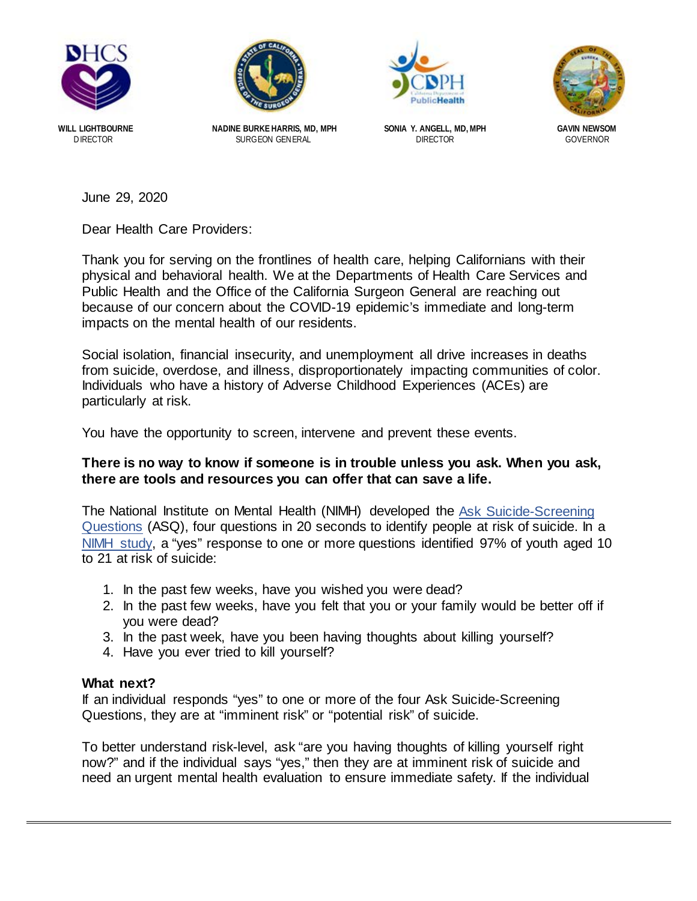



**SURGEON GENERAL** 





**WILL LIGHTBOURNE NADINE BURKE HARRIS, MD, MPH SONIA Y. ANGELL, MD, MPH GAVIN NEWSOM**

June 29, 2020

Dear Health Care Providers:

Thank you for serving on the frontlines of health care, helping Californians with their physical and behavioral health. We at the Departments of Health Care Services and Public Health and the Office of the California Surgeon General are reaching out because of our concern about the COVID-19 epidemic's immediate and long-term impacts on the mental health of our residents.

Social isolation, financial insecurity, and unemployment all drive increases in deaths from suicide, overdose, and illness, disproportionately impacting communities of color. Individuals who have a history of Adverse Childhood Experiences (ACEs) are particularly at risk.

You have the opportunity to screen, intervene and prevent these events.

#### **There is no way to know if someone is in trouble unless you ask. When you ask, there are tools and resources you can offer that can save a life.**

The National Institute on Mental Health (NIMH) developed the [Ask Suicide-Screening](https://www.nimh.nih.gov/research/research-conducted-at-nimh/asq-toolkit-materials/index.shtml)  [Questions](https://www.nimh.nih.gov/research/research-conducted-at-nimh/asq-toolkit-materials/index.shtml) (ASQ), four questions in 20 seconds to identify people at risk of suicide. In a [NIMH study,](https://www.ncbi.nlm.nih.gov/pubmed/23027429) a "yes" response to one or more questions identified 97% of youth aged 10 to 21 at risk of suicide:

- 1. In the past few weeks, have you wished you were dead?
- 2. In the past few weeks, have you felt that you or your family would be better off if you were dead?
- 3. In the past week, have you been having thoughts about killing yourself?
- 4. Have you ever tried to kill yourself?

#### **What next?**

If an individual responds "yes" to one or more of the four Ask Suicide-Screening Questions, they are at "imminent risk" or "potential risk" of suicide.

To better understand risk-level, ask "are you having thoughts of killing yourself right now?" and if the individual says "yes," then they are at imminent risk of suicide and need an urgent mental health evaluation to ensure immediate safety. If the individual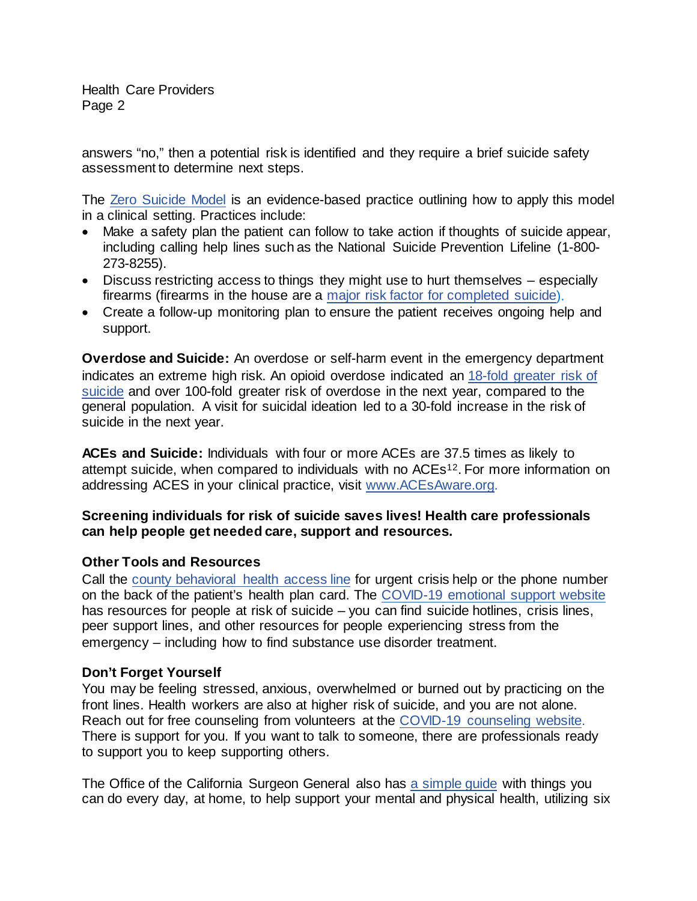Health Care Providers Page 2

answers "no," then a potential risk is identified and they require a brief suicide safety assessment to determine next steps.

The [Zero Suicide Model](https://www.ncbi.nlm.nih.gov/pmc/articles/PMC5829088/) is an evidence-based practice outlining how to apply this model in a clinical setting. Practices include:

- Make a safety plan the patient can follow to take action if thoughts of suicide appear, including calling help lines such as the National Suicide Prevention Lifeline (1-800- 273-8255).
- Discuss restricting access to things they might use to hurt themselves especially firearms (firearms in the house are a major risk factor for [completed suicide\).](https://www.hsph.harvard.edu/means-matter/means-matter/risk/)
- Create a follow-up monitoring plan to ensure the patient receives ongoing help and support.

**Overdose and Suicide:** An overdose or self-harm event in the emergency department indicates an extreme high risk. An opioid overdose indicated an [18-fold greater risk](https://jamanetwork.com/journals/jamanetworkopen/fullarticle/2757488) of [suicide](https://jamanetwork.com/journals/jamanetworkopen/fullarticle/2757488) and over 100-fold greater risk of overdose in the next year, compared to the general population. A visit for suicidal ideation led to a 30-fold increase in the risk of suicide in the next year.

**ACEs and Suicide:** Individuals with four or more ACEs are 37.5 times as likely to attempt suicide, when compared to individuals with no ACEs12. For more information on addressing ACES in your clinical practice, visit [www.ACEsAware.org.](http://www.acesaware.org/)

## **Screening individuals for risk of suicide saves lives! Health care professionals can help people get needed care, support and resources.**

## **Other Tools and Resources**

Call the county behavioral [health access line](https://www.dhcs.ca.gov/individuals/Pages/MHPContactList.aspx) for urgent crisis help or the phone number on the back of the patient's health plan card. The [COVID-19 emotional support](https://covid19.ca.gov/resources-for-emotional-support-and-well-being/) website has resources for people at risk of suicide – you can find suicide hotlines, crisis lines, peer support lines, and other resources for people experiencing stress from the emergency – including how to find substance use disorder treatment.

## **Don't Forget Yourself**

You may be feeling stressed, anxious, overwhelmed or burned out by practicing on the front lines. Health workers are also at higher risk of suicide, and you are not alone. Reach out for free counseling from volunteers at the [COVID-19 counseling website.](https://www.covid19counselingca.org/) There is support for you. If you want to talk to someone, there are professionals ready to support you to keep supporting others.

The Office of the California Surgeon General also has [a simple guide](https://covid19.ca.gov/img/wp/california-surgeon-general_stress-busting-playbook_draft-v2clean_ada-04072020.pdf) with things you can do every day, at home, to help support your mental and physical health, utilizing six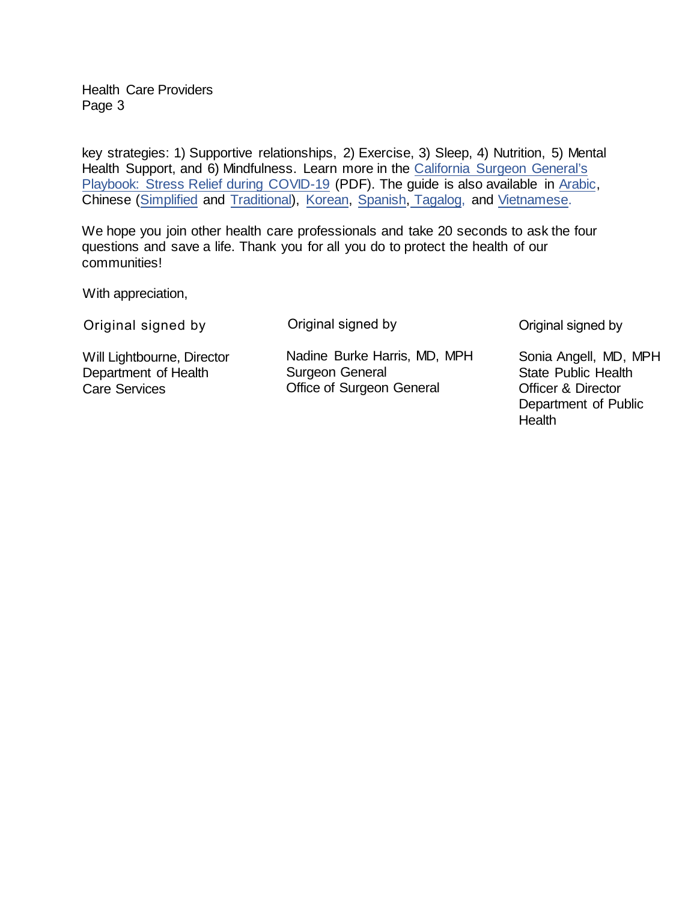Health Care Providers Page 3

key strategies: 1) Supportive relationships, 2) Exercise, 3) Sleep, 4) Nutrition, 5) Mental Health Support, and 6) Mindfulness. Learn more in the [California Surgeon General's](https://covid19.ca.gov/img/wp/california-surgeon-general_stress-busting-playbook_draft-v2clean_ada-04072020.pdf) Playbook: Stress Relief [during COVID-19](https://covid19.ca.gov/img/wp/california-surgeon-general_stress-busting-playbook_draft-v2clean_ada-04072020.pdf) (PDF). The guide is also available in [Arabic](https://covid19.ca.gov/img/wp/osg-general-stress-relief-playbook_arabic.pdf), Chinese [\(Simplified](https://covid19.ca.gov/img/wp/osg-general-stress-relief-playbook_chinese_simplified.pdf) and [Traditional](https://covid19.ca.gov/img/wp/osg-general-stress-relief-playbook_zh.pdf)), [Korean,](https://covid19.ca.gov/img/wp/osg-general-stress-relief-playbook_ko.pdf) [Spanish,](https://covid19.ca.gov/img/wp/2020-0334-osg-general-stress-relief-playbook-spanish-lsu-final.pdf) [Tagalog,](https://covid19.ca.gov/img/wp/osg-general-stress-relief-playbook_tl.pdf.ca.gov/img/wp/osg-general-stress-relief-playbook_tl.pdf) and [Vietnamese.](https://covid19.ca.gov/img/wp/osg-general-stress-relief-playbook_vi.pdf)

We hope you join other health care professionals and take 20 seconds to ask the four questions and save a life. Thank you for all you do to protect the health of our communities!

With appreciation,

| Original signed by                                 | Original signed by                                     |
|----------------------------------------------------|--------------------------------------------------------|
| Will Lightbourne, Director<br>Department of Health | Nadine Burke Harris, MD, MPH<br><b>Surgeon General</b> |
| <b>Care Services</b>                               | <b>Office of Surgeon General</b>                       |

Original signed by

Sonia Angell, MD, MPH State Public Health Officer & Director Department of Public **Health**